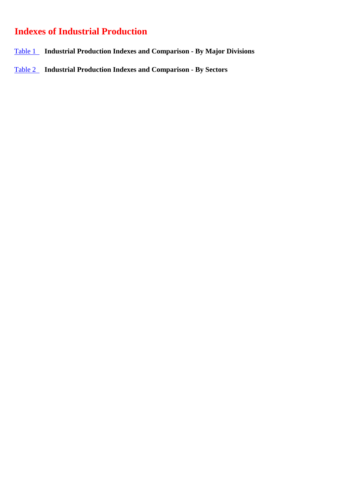## **Indexes of Industrial Production**

- [Table 1](#page-1-0) **Industrial Production Indexes and Comparison By Major Divisions**
- [Table 2](#page-2-0) **Industrial Production Indexes and Comparison By Sectors**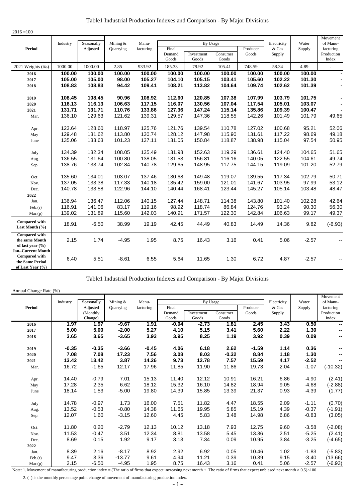<span id="page-1-0"></span>

| $2016 = 100$                                                                             |          |            |           |           |                 |                     |                   |          |             |         |                      |
|------------------------------------------------------------------------------------------|----------|------------|-----------|-----------|-----------------|---------------------|-------------------|----------|-------------|---------|----------------------|
|                                                                                          | Industry | Seasonally | Mining &  | Manu-     |                 | By Usage            |                   |          | Electricity | Water   | Movement<br>of Manu- |
| <b>Period</b>                                                                            |          | Adjusted   | Quarrying | facturing | Final           |                     |                   | Producer | & Gas       | Supply  | facturing            |
|                                                                                          |          |            |           |           | Demand<br>Goods | Investment<br>Goods | Consumer<br>Goods | Goods    | Supply      |         | Production<br>Index  |
| 2021 Weights (%)                                                                         | 1000.00  | 1000.00    | 2.85      | 933.92    | 185.33          | 79.92               | 105.41            | 748.59   | 58.34       | 4.89    | L.                   |
| 2016                                                                                     | 100.00   | 100.00     | 100.00    | 100.00    | 100.00          | 100.00              | 100.00            | 100.00   | 100.00      | 100.00  |                      |
| 2017                                                                                     | 105.00   | 105.00     | 98.00     | 105.27    | 104.10          | 105.15              | 103.41            | 105.60   | 102.22      | 101.30  |                      |
| 2018                                                                                     | 108.83   | 108.83     | 94.42     | 109.41    | 108.21          | 113.82              | 104.64            | 109.74   | 102.62      | 101.39  |                      |
| 2019                                                                                     | 108.45   | 108.45     | 90.96     | 108.92    | 112.60          | 120.85              | 107.38            | 107.99   | 103.79      | 101.75  | $\blacksquare$       |
| 2020                                                                                     | 116.13   | 116.13     | 106.63    | 117.15    | 116.07          | 130.56              | 107.04            | 117.54   | 105.01      | 103.07  | $\blacksquare$       |
| 2021                                                                                     | 131.71   | 131.71     | 110.76    | 133.86    | 127.36          | 147.24              | 115.14            | 135.86   | 109.39      | 100.47  |                      |
| Mar.                                                                                     | 136.10   | 129.63     | 121.62    | 139.31    | 129.57          | 147.36              | 118.55            | 142.26   | 101.49      | 101.79  | 49.65                |
| Apr.                                                                                     | 123.64   | 128.60     | 118.97    | 125.76    | 121.76          | 139.54              | 110.78            | 127.02   | 100.68      | 95.21   | 52.06                |
| May                                                                                      | 129.48   | 131.62     | 113.80    | 130.74    | 128.12          | 147.98              | 115.90            | 131.61   | 117.22      | 98.69   | 49.18                |
| June                                                                                     | 135.06   | 133.63     | 101.23    | 137.11    | 131.05          | 150.84              | 118.87            | 138.98   | 115.04      | 97.54   | 50.95                |
| July                                                                                     | 134.39   | 132.34     | 108.05    | 135.49    | 131.98          | 152.63              | 119.29            | 136.61   | 124.40      | 104.65  | 51.65                |
| Aug.                                                                                     | 136.55   | 131.64     | 100.80    | 138.05    | 131.53          | 156.81              | 116.16            | 140.05   | 122.55      | 104.61  | 49.74                |
| Sep.                                                                                     | 138.76   | 133.74     | 102.84    | 140.78    | 129.65          | 148.95              | 117.75            | 144.15   | 119.09      | 101.20  | 52.79                |
| Oct.                                                                                     | 135.60   | 134.01     | 103.07    | 137.46    | 130.68          | 149.48              | 119.07            | 139.55   | 117.34      | 102.79  | 50.71                |
| Nov.                                                                                     | 137.05   | 133.38     | 117.33    | 140.18    | 135.42          | 159.00              | 121.01            | 141.67   | 103.95      | 97.99   | 53.12                |
| Dec.                                                                                     | 140.78   | 133.58     | 122.96    | 144.10    | 140.44          | 168.41              | 123.44            | 145.27   | 105.14      | 103.48  | 48.47                |
| 2022                                                                                     |          |            |           |           |                 |                     |                   |          |             |         |                      |
| Jan.                                                                                     | 136.94   | 136.47     | 112.06    | 140.15    | 127.44          | 148.71              | 114.38            | 143.80   | 101.40      | 102.28  | 42.64                |
| Feb.(r)                                                                                  | 116.91   | 141.06     | 83.17     | 119.16    | 98.92           | 118.74              | 86.84             | 124.76   | 93.24       | 90.30   | 56.30                |
| Mar(p)                                                                                   | 139.02   | 131.89     | 115.60    | 142.03    | 140.91          | 171.57              | 122.30            | 142.84   | 106.63      | 99.17   | 49.37                |
| <b>Compared with</b><br>Last Month (%)                                                   | 18.91    | $-6.50$    | 38.99     | 19.19     | 42.45           | 44.49               | 40.83             | 14.49    | 14.36       | 9.82    | $(-6.93)$            |
| <b>Compared with</b><br>the same Month<br>of last year $(\% )$                           | 2.15     | 1.74       | $-4.95$   | 1.95      | 8.75            | 16.43               | 3.16              | 0.41     | 5.06        | $-2.57$ |                      |
| <b>Jan.-Current Month</b><br><b>Compared with</b><br>the Same Period<br>of Last Year (%) | 6.40     | 5.51       | $-8.61$   | 6.55      | 5.64            | 11.65               | 1.30              | 6.72     | 4.87        | $-2.57$ | --                   |

Table1 Industrial Production Indexes and Comparison - By Major Divisions

## Annual Change Rate (%)

|         |          |                     |           |           |                 |                     |                   |          |             |         | Movement            |
|---------|----------|---------------------|-----------|-----------|-----------------|---------------------|-------------------|----------|-------------|---------|---------------------|
|         | Industry | Seasonally          | Mining &  | Manu-     |                 | By Usage            |                   |          | Electricity | Water   | of Manu-            |
| Period  |          | Adjusted            | Quarrying | facturing | Final           |                     |                   | Producer | & Gas       | Supply  | facturing           |
|         |          | (Monthly<br>Change) |           |           | Demand<br>Goods | Investment<br>Goods | Consumer<br>Goods | Goods    | Supply      |         | Production<br>Index |
| 2016    | 1.97     | 1.97                | $-9.67$   | 1.91      | $-0.04$         | $-2.73$             | 1.81              | 2.45     | 3.43        | 0.50    |                     |
| 2017    | 5.00     | 5.00                | $-2.00$   | 5.27      | 4.10            | 5.15                | 3.41              | 5.60     | 2.22        | 1.30    | ⊷                   |
| 2018    | 3.65     | 3.65                | $-3.65$   | 3.93      | 3.95            | 8.25                | 1.19              | 3.92     | 0.39        | 0.09    | н.                  |
| 2019    | $-0.35$  | $-0.35$             | $-3.66$   | $-0.45$   | 4.06            | 6.18                | 2.62              | -1.59    | 1.14        | 0.36    | --                  |
| 2020    | 7.08     | 7.08                | 17.23     | 7.56      | 3.08            | 8.03                | $-0.32$           | 8.84     | 1.18        | 1.30    | ⊷                   |
| 2021    | 13.42    | 13.42               | 3.87      | 14.26     | 9.73            | 12.78               | 7.57              | 15.59    | 4.17        | $-2.52$ | --                  |
| Mar.    | 16.72    | $-1.65$             | 12.17     | 17.96     | 11.85           | 11.90               | 11.86             | 19.73    | 2.04        | $-1.07$ | $(-10.32)$          |
| Apr.    | 14.40    | $-0.79$             | 7.01      | 15.13     | 11.40           | 12.12               | 10.91             | 16.21    | 6.86        | $-4.90$ | (2.41)              |
| May     | 17.28    | 2.35                | 6.62      | 18.12     | 15.32           | 16.10               | 14.82             | 18.94    | 9.05        | $-4.68$ | $(-2.88)$           |
| June    | 18.14    | 1.53                | $-5.00$   | 19.80     | 14.39           | 15.85               | 13.39             | 21.37    | 0.93        | $-4.39$ | (1.77)              |
| July    | 14.78    | $-0.97$             | 1.73      | 16.00     | 7.51            | 11.82               | 4.47              | 18.55    | 2.09        | $-1.11$ | (0.70)              |
| Aug.    | 13.52    | $-0.53$             | $-0.80$   | 14.38     | 11.65           | 19.95               | 5.85              | 15.19    | 4.39        | $-0.37$ | $(-1.91)$           |
| Sep.    | 12.07    | 1.60                | $-3.15$   | 12.60     | 4.45            | 5.83                | 3.48              | 14.98    | 6.86        | $-0.83$ | (3.05)              |
| Oct.    | 11.80    | 0.20                | $-2.79$   | 12.13     | 10.12           | 13.18               | 7.93              | 12.75    | 9.60        | $-3.58$ | $(-2.08)$           |
| Nov.    | 11.53    | $-0.47$             | 3.51      | 12.34     | 8.81            | 13.58               | 5.45              | 13.36    | 2.51        | $-5.25$ | (2.41)              |
| Dec.    | 8.69     | 0.15                | 1.92      | 9.17      | 3.13            | 7.34                | 0.09              | 10.95    | 3.84        | $-3.25$ | $(-4.65)$           |
| 2022    |          |                     |           |           |                 |                     |                   |          |             |         |                     |
| Jan.    | 8.39     | 2.16                | $-8.17$   | 8.92      | 2.92            | 6.92                | 0.05              | 10.46    | 1.02        | $-1.83$ | $(-5.83)$           |
| Feb.(r) | 9.47     | 3.36                | $-13.77$  | 9.61      | 4.94            | 11.21               | 0.39              | 10.39    | 9.15        | $-3.40$ | (13.66)             |
| Mar.(p) | 2.15     | $-6.50$             | $-4.95$   | 1.95      | 8.75            | 16.43               | 3.16              | 0.41     | 5.06        | $-2.57$ | (-6.93)             |

Note: 1. Movement of manufacturing production index = (The ratio of firms that expect increasing next month + The ratio of firms that expect unbiased next month × 0.5)×100

2. ( ) is the monthly percentage point change of movement of manufacturing production index.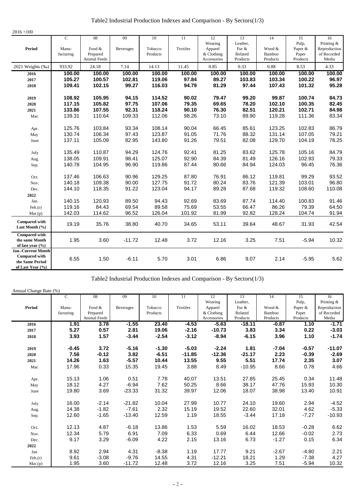| Table2 Industrial Production Indexes and Comparison - By Sectors(1/3) |  |  |  |
|-----------------------------------------------------------------------|--|--|--|
|-----------------------------------------------------------------------|--|--|--|

<span id="page-2-0"></span>

| $2016 = 100$                                                                      |                                      |                                                         |                                   |                                      |                                  |                                                       |                                                |                                     |                                             |                                                          |
|-----------------------------------------------------------------------------------|--------------------------------------|---------------------------------------------------------|-----------------------------------|--------------------------------------|----------------------------------|-------------------------------------------------------|------------------------------------------------|-------------------------------------|---------------------------------------------|----------------------------------------------------------|
| <b>Period</b>                                                                     | $\overline{c}$<br>Manu-<br>facturing | $\overline{08}$<br>Food $&$<br>Prepared<br>Animal Feeds | 09<br><b>Beverages</b>            | 10<br>Tobacco<br>Products            | 11<br>Textiles                   | 12<br>Wearing<br>Apparel<br>& Clothing<br>Accessories | 13<br>Leather.<br>Fur &<br>Related<br>Products | 14<br>Wood &<br>Bamboo<br>Products  | 15<br>Pulp,<br>Paper &<br>Paper<br>Products | 16<br>Printing &<br>Reproduction<br>of Recorded<br>Media |
| 2021 Weights (%)                                                                  | 933.92                               | 24.18                                                   | 7.14                              | 14.13                                | 11.45                            | 0.85                                                  | 0.33                                           | 0.88                                | 8.53                                        | 4.33                                                     |
| 2016<br>2017<br>2018                                                              | 100.00<br>105.27<br>109.41           | 100.00<br>100.57<br>102.15                              | 100.00<br>102.81<br>99.27         | 100.00<br>119.06<br>116.03           | 100.00<br>97.84<br>94.79         | 100.00<br>89.27<br>81.29                              | 100.00<br>103.83<br>97.44                      | 100.00<br>103.34<br>107.43          | 100.00<br>100.22<br>101.32                  | 100.00<br>96.97<br>95.28                                 |
| 2019<br>2020<br>2021<br>Mar.                                                      | 108.92<br>117.15<br>133.86<br>139.31 | 105.95<br>105.82<br>107.55<br>110.64                    | 94.15<br>97.75<br>92.31<br>109.33 | 114.52<br>107.06<br>118.24<br>112.06 | 90.02<br>79.35<br>90.10<br>98.26 | 79.47<br>69.65<br>76.30<br>73.10                      | 99.20<br>78.20<br>82.51<br>89.90               | 99.87<br>102.10<br>120.21<br>119.28 | 100.74<br>100.35<br>102.71<br>111.36        | 84.73<br>82.45<br>84.98<br>83.34                         |
| Apr.<br>May<br>June                                                               | 125.76<br>130.74<br>137.11           | 103.84<br>106.34<br>105.09                              | 93.34<br>97.43<br>82.95           | 108.14<br>123.87<br>143.80           | 90.04<br>91.05<br>91.26          | 66.45<br>71.76<br>79.51                               | 85.61<br>88.32<br>82.08                        | 123.25<br>131.14<br>129.70          | 102.83<br>107.05<br>104.19                  | 86.79<br>79.21<br>78.25                                  |
| July<br>Aug.<br>Sep.                                                              | 135.49<br>138.05<br>140.78           | 110.87<br>109.91<br>104.95                              | 94.29<br>98.41<br>96.90           | 124.76<br>125.07<br>119.86           | 92.41<br>92.90<br>87.44          | 81.25<br>84.39<br>80.66                               | 83.62<br>81.49<br>84.94                        | 125.78<br>126.16<br>124.03          | 105.16<br>102.93<br>96.45                   | 84.79<br>79.33<br>76.36                                  |
| Oct.<br>Nov.<br>Dec.<br>2022                                                      | 137.46<br>140.18<br>144.10           | 106.63<br>109.38<br>118.35                              | 90.96<br>90.00<br>91.22           | 129.25<br>127.75<br>123.04           | 87.80<br>91.72<br>94.17          | 76.91<br>80.24<br>89.28                               | 86.12<br>83.76<br>87.68                        | 119.81<br>121.39<br>119.32          | 99.29<br>103.01<br>108.60                   | 93.52<br>96.80<br>110.08                                 |
| Jan.<br>Feb.(r)<br>Mar.(p)                                                        | 140.15<br>119.16<br>142.03           | 120.93<br>84.43<br>114.62                               | 89.50<br>69.54<br>96.52           | 94.43<br>89.58<br>126.04             | 92.69<br>75.69<br>101.92         | 83.69<br>53.55<br>81.99                               | 87.74<br>66.47<br>92.82                        | 114.40<br>86.26<br>128.24           | 100.83<br>79.39<br>104.74                   | 91.46<br>64.50<br>91.94                                  |
| <b>Compared with</b><br>Last Month (%)                                            | 19.19                                | 35.76                                                   | 38.80                             | 40.70                                | 34.65                            | 53.11                                                 | 39.64                                          | 48.67                               | 31.93                                       | 42.54                                                    |
| <b>Compared with</b><br>the same Month<br>of last year $(\% )$                    | 1.95                                 | 3.60                                                    | $-11.72$                          | 12.48                                | 3.72                             | 12.16                                                 | 3.25                                           | 7.51                                | $-5.94$                                     | 10.32                                                    |
| Jan.-Current Month<br><b>Compared with</b><br>the Same Period<br>of Last Year (%) | 6.55                                 | 1.50                                                    | $-6.11$                           | 5.70                                 | 3.01                             | 6.86                                                  | 9.07                                           | 2.14                                | $-5.95$                                     | 5.62                                                     |

Table2 Industrial Production Indexes and Comparison - By Sectors(1/3)

Annual Change Rate (%)

|               | C         | 08           | 09        | 10       | 11       | 12           | 13       | 14       | 15       | 16           |
|---------------|-----------|--------------|-----------|----------|----------|--------------|----------|----------|----------|--------------|
|               |           |              |           |          |          | Wearing      | Leather, |          | Pulp,    | Printing &   |
| <b>Period</b> | Manu-     | Food &       | Beverages | Tobacco  | Textiles | Apparel      | Fur &    | Wood &   | Paper &  | Reproduction |
|               | facturing | Prepared     |           | Products |          | $&$ Clothing | Related  | Bamboo   | Paper    | of Recorded  |
|               |           | Animal Feeds |           |          |          | Accessories  | Products | Products | Products | Media        |
| 2016          | 1.91      | 3.78         | $-1.55$   | 23.40    | $-4.53$  | $-5.63$      | $-18.11$ | $-0.87$  | 1.10     | $-1.71$      |
| 2017          | 5.27      | 0.57         | 2.81      | 19.06    | $-2.16$  | $-10.73$     | 3.83     | 3.34     | 0.22     | $-3.03$      |
| 2018          | 3.93      | 1.57         | $-3.44$   | $-2.54$  | $-3.12$  | $-8.94$      | $-6.15$  | 3.96     | 1.10     | $-1.74$      |
| 2019          | $-0.45$   | 3.72         | $-5.16$   | $-1.30$  | $-5.03$  | $-2.24$      | 1.81     | $-7.04$  | $-0.57$  | $-11.07$     |
| 2020          | 7.56      | $-0.12$      | 3.82      | $-6.51$  | $-11.85$ | $-12.36$     | $-21.17$ | 2.23     | $-0.39$  | $-2.69$      |
| 2021          | 14.26     | 1.63         | $-5.57$   | 10.44    | 13.55    | 9.55         | 5.51     | 17.74    | 2.35     | 3.07         |
| Mar.          | 17.96     | 0.33         | 15.35     | 19.45    | 3.88     | 8.49         | $-10.95$ | 8.66     | 0.78     | 4.66         |
|               |           |              |           |          |          |              |          |          |          |              |
| Apr.          | 15.13     | 1.06         | 0.51      | 7.78     | 40.07    | 13.51        | 27.85    | 25.45    | 0.34     | 11.48        |
| May           | 18.12     | 4.27         | $-6.94$   | 7.62     | 50.25    | 8.66         | 38.17    | 47.76    | 15.93    | 10.30        |
| June          | 19.80     | 3.69         | $-23.33$  | 31.32    | 39.97    | 12.06        | 18.07    | 38.98    | 13.40    | 10.91        |
| July          | 16.00     | $-2.14$      | $-21.82$  | 10.04    | 27.99    | 10.77        | 24.10    | 19.60    | 2.94     | $-4.52$      |
| Aug.          | 14.38     | $-1.82$      | $-7.61$   | 2.32     | 15.19    | 19.52        | 22.60    | 32.01    | 4.62     | $-5.33$      |
|               | 12.60     | $-1.65$      |           |          |          |              |          | 17.18    | $-7.27$  | $-10.93$     |
| Sep.          |           |              | $-13.40$  | 12.59    | 1.19     | 18.55        | $-3.44$  |          |          |              |
| Oct.          | 12.13     | 4.87         | $-6.18$   | 13.86    | 1.53     | 5.59         | 16.02    | 18.53    | $-0.28$  | 6.62         |
| Nov.          | 12.34     | 5.79         | 6.91      | 7.09     | 6.33     | 0.69         | 6.44     | 12.66    | $-0.02$  | 2.73         |
| Dec.          | 9.17      | 3.29         | $-6.09$   | 4.22     | 2.15     | 13.16        | 6.73     | $-1.27$  | 0.15     | 6.34         |
| 2022          |           |              |           |          |          |              |          |          |          |              |
| Jan.          | 8.92      | 2.94         | 4.31      | $-8.38$  | 1.19     | 17.77        | 9.21     | $-2.67$  | $-4.80$  | 2.21         |
| Feb.(r)       | 9.61      | $-3.08$      | $-9.76$   | 14.55    | 4.31     | $-12.21$     | 18.21    | 1.29     | $-7.38$  | 4.27         |
| Mar(p)        | 1.95      | 3.60         | $-11.72$  | 12.48    | 3.72     | 12.16        | 3.25     | 7.51     | $-5.94$  | 10.32        |
|               |           |              |           |          |          |              |          |          |          |              |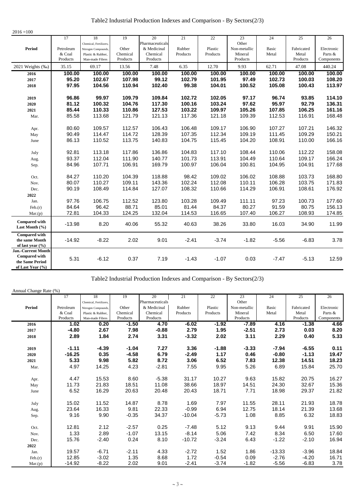| Table2 Industrial Production Indexes and Comparison - By Sectors(2/3) |  |  |
|-----------------------------------------------------------------------|--|--|
|-----------------------------------------------------------------------|--|--|

| $2016 = 100$                           |                    |                        |                      |                      |          |          |                     |         |                   |                       |
|----------------------------------------|--------------------|------------------------|----------------------|----------------------|----------|----------|---------------------|---------|-------------------|-----------------------|
|                                        | 17                 | 18                     | 19                   | 20                   | 21       | 22       | 23                  | 24      | 25                | $\overline{26}$       |
|                                        |                    | Chemical, Fertilizers, |                      | Pharmaceuticals      |          |          | Other               |         |                   |                       |
| Period                                 | Petroleum          | Nitrogen Compounds,    | Other                | & Medicinal          | Rubber   | Plastic  | Non-metallic        | Basic   | Fabricated        | Electronic            |
|                                        | & Coal<br>Products | Plastic & Rubber,      | Chemical<br>Products | Chemical<br>Products | Products | Products | Mineral<br>Products | Metal   | Metal<br>Products | Parts &<br>Components |
|                                        |                    | Man-made Fibres        |                      |                      |          |          |                     |         |                   |                       |
| 2021 Weights (%)                       | 35.15              | 69.17                  | 13.56                | 7.48                 | 6.35     | 12.70    | 9.93                | 62.71   | 47.08             | 440.24                |
| 2016                                   | 100.00             | 100.00                 | 100.00               | 100.00               | 100.00   | 100.00   | 100.00              | 100.00  | 100.00            | 100.00                |
| 2017                                   | 95.20              | 102.67                 | 107.98               | 99.12                | 102.79   | 101.95   | 97.49               | 102.73  | 100.03            | 108.20                |
| 2018                                   | 97.95              | 104.56                 | 110.94               | 102.40               | 99.38    | 104.01   | 100.52              | 105.08  | 100.43            | 113.97                |
| 2019                                   | 96.86              | 99.97                  | 109.79               | 109.84               | 102.72   | 102.05   | 97.17               | 96.74   | 93.85             | 114.10                |
| 2020                                   | 81.12              | 100.32                 | 104.76               | 117.30               | 100.16   | 103.24   | 97.62               | 95.97   | 92.79             | 136.31                |
| 2021                                   | 85.44              | 110.33                 | 110.86               | 127.53               | 103.22   | 109.97   | 105.26              | 107.85  | 106.25            | 161.16                |
| Mar.                                   | 85.58              | 113.68                 | 121.79               | 121.13               | 117.36   | 121.18   | 109.39              | 112.53  | 116.91            | 168.48                |
|                                        |                    |                        |                      |                      |          |          |                     |         |                   |                       |
| Apr.                                   | 80.60              | 109.57                 | 112.57               | 106.43               | 106.48   | 109.17   | 106.90              | 107.27  | 107.21            | 146.32                |
| May                                    | 90.49              | 114.47                 | 114.72               | 128.39               | 107.35   | 112.34   | 109.19              | 111.45  | 109.29            | 150.21                |
| June                                   | 86.13              | 110.52                 | 113.75               | 140.83               | 104.75   | 115.45   | 104.20              | 108.91  | 110.00            | 166.16                |
|                                        |                    |                        |                      |                      |          |          |                     |         |                   |                       |
| July                                   | 92.81              | 113.18                 | 117.86               | 136.86               | 104.83   | 117.10   | 108.44              | 110.06  | 112.22            | 158.08                |
| Aug.                                   | 93.37              | 112.04                 | 111.90               | 140.77               | 101.73   | 113.91   | 104.49              | 110.64  | 109.17            | 166.24                |
| Sep.                                   | 84.96              | 107.71                 | 106.91               | 169.79               | 100.97   | 106.04   | 100.81              | 104.95  | 104.91            | 177.68                |
|                                        |                    |                        |                      |                      |          |          |                     |         |                   |                       |
| Oct.                                   | 84.27              | 110.20                 | 104.39               | 118.88               | 98.42    | 109.02   | 106.02              | 108.88  | 103.73            | 168.80                |
| Nov.                                   | 80.07              | 110.27                 | 109.11               | 143.36               | 102.24   | 112.08   | 110.11              | 106.28  | 103.75            | 171.83                |
| Dec.                                   | 90.19              | 108.49                 | 114.84               | 127.07               | 108.32   | 110.66   | 114.29              | 106.91  | 108.61            | 176.92                |
| 2022                                   |                    |                        |                      |                      |          |          |                     |         |                   |                       |
| Jan.                                   | 97.76              | 106.75                 | 112.52               | 123.80               | 103.28   | 109.49   | 111.11              | 97.23   | 100.73            | 177.60                |
| Feb.(r)                                | 84.64              | 96.42                  | 88.71                | 85.01                | 81.44    | 84.37    | 80.27               | 91.59   | 80.75             | 156.13                |
| Mar.(p)                                | 72.81              | 104.33                 | 124.25               | 132.04               | 114.53   | 116.65   | 107.40              | 106.27  | 108.93            | 174.85                |
| <b>Compared with</b><br>Last Month (%) | $-13.98$           | 8.20                   | 40.06                | 55.32                | 40.63    | 38.26    | 33.80               | 16.03   | 34.90             | 11.99                 |
|                                        |                    |                        |                      |                      |          |          |                     |         |                   |                       |
| <b>Compared with</b>                   |                    |                        |                      |                      |          |          |                     |         |                   |                       |
| the same Month<br>of last year (%)     | $-14.92$           | $-8.22$                | 2.02                 | 9.01                 | $-2.41$  | $-3.74$  | $-1.82$             | $-5.56$ | $-6.83$           | 3.78                  |
| Jan.-Current Month                     |                    |                        |                      |                      |          |          |                     |         |                   |                       |
| <b>Compared with</b>                   |                    |                        |                      |                      |          |          |                     |         |                   |                       |
| the Same Period                        | 5.31               | $-6.12$                | 0.37                 | 7.19                 | $-1.43$  | $-1.07$  | 0.03                | $-7.47$ | $-5.13$           | 12.59                 |
| of Last Year (%)                       |                    |                        |                      |                      |          |          |                     |         |                   |                       |

Table2 Industrial Production Indexes and Comparison - By Sectors(2/3)

Annual Change Rate (%)

|               | 17        | 18                     | 19       | 20              | 21       | 22       | 23           | 24       | 25         | 26         |
|---------------|-----------|------------------------|----------|-----------------|----------|----------|--------------|----------|------------|------------|
|               |           | Chemical, Fertilizers, |          | Pharmaceuticals |          |          | Other        |          |            |            |
| <b>Period</b> | Petroleum | Nitrogen Compounds,    | Other    | & Medicinal     | Rubber   | Plastic  | Non-metallic | Basic    | Fabricated | Electronic |
|               | & Coal    | Plastic & Rubber,      | Chemical | Chemical        | Products | Products | Mineral      | Metal    | Metal      | Parts &    |
|               | Products  | Man-made Fibres        | Products | Products        |          |          | Products     |          | Products   | Components |
| 2016          | 1.02      | 0.20                   | $-1.50$  | 4.70            | -6.02    | $-1.92$  | $-7.89$      | 4.16     | $-1.38$    | 4.66       |
| 2017          | $-4.80$   | 2.67                   | 7.98     | $-0.88$         | 2.79     | 1.95     | $-2.51$      | 2.73     | 0.03       | 8.20       |
| 2018          | 2.89      | 1.84                   | 2.74     | 3.31            | $-3.32$  | 2.02     | 3.11         | 2.29     | 0.40       | 5.33       |
| 2019          | $-1.11$   | $-4.39$                | $-1.04$  | 7.27            | 3.36     | $-1.88$  | $-3.33$      | $-7.94$  | $-6.55$    | 0.11       |
| 2020          | $-16.25$  | 0.35                   | $-4.58$  | 6.79            | $-2.49$  | 1.17     | 0.46         | $-0.80$  | $-1.13$    | 19.47      |
| 2021          | 5.33      | 9.98                   | 5.82     | 8.72            | 3.06     | 6.52     | 7.83         | 12.38    | 14.51      | 18.23      |
| Mar.          | 4.97      | 14.25                  | 4.23     | $-2.81$         | 7.55     | 9.95     | 5.26         | 6.89     | 15.84      | 25.70      |
|               |           |                        |          |                 |          |          |              |          |            |            |
| Apr.          | 4.47      | 15.53                  | 8.60     | $-5.38$         | 31.17    | 10.27    | 9.63         | 15.82    | 20.75      | 16.27      |
| May           | 11.73     | 21.83                  | 18.51    | 11.08           | 38.66    | 18.97    | 14.51        | 24.30    | 32.67      | 15.36      |
| June          | 6.52      | 16.29                  | 20.63    | 20.48           | 20.43    | 18.71    | 7.71         | 18.98    | 29.37      | 21.82      |
| July          | 15.02     | 11.52                  | 14.87    | 8.78            | 1.69     | 7.97     | 11.55        | 28.11    | 21.93      | 18.78      |
|               | 23.64     | 16.33                  | 9.81     | 22.33           | $-0.99$  | 6.94     | 12.75        | 18.14    | 21.39      | 13.68      |
| Aug.          |           |                        |          |                 |          |          |              |          |            |            |
| Sep.          | 9.16      | 9.90                   | $-0.35$  | 34.37           | $-10.04$ | $-5.73$  | 1.08         | 8.85     | 6.32       | 18.83      |
| Oct.          | 12.81     | 2.12                   | $-2.57$  | 0.25            | $-7.48$  | 5.12     | 9.13         | 9.44     | 9.91       | 15.90      |
| Nov.          | 1.33      | 2.89                   | $-1.07$  | 13.15           | $-8.14$  | 5.06     | 7.42         | 8.34     | 6.50       | 17.60      |
| Dec.          | 15.76     | $-2.40$                | 0.24     | 8.10            | $-10.72$ | $-3.24$  | 6.43         | $-1.22$  | $-2.10$    | 16.94      |
| 2022          |           |                        |          |                 |          |          |              |          |            |            |
| Jan.          | 19.57     | $-6.71$                | $-2.11$  | 4.33            | $-2.72$  | 1.52     | 1.86         | $-13.33$ | $-3.96$    | 18.84      |
| Feb.(r)       | 12.85     | $-3.02$                | 1.35     | 8.68            | 1.72     | $-0.54$  | 0.09         | $-2.76$  | $-4.20$    | 16.71      |
| Mar.(p)       | $-14.92$  | $-8.22$                | 2.02     | 9.01            | $-2.41$  | $-3.74$  | $-1.82$      | $-5.56$  | $-6.83$    | 3.78       |